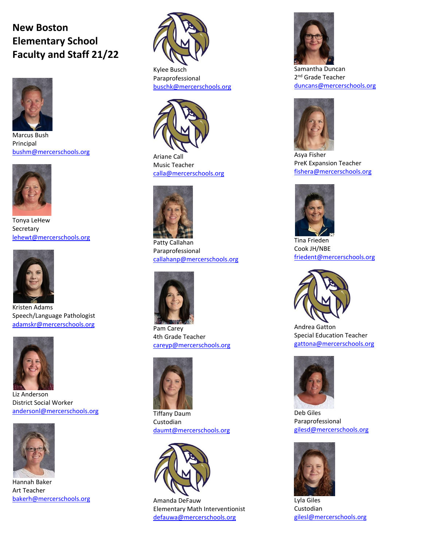## **New Boston Elementary School Faculty and Staff 21/22**



Marcus Bush Principal [bushm@mercerschools.org](mailto:mbush@mercerschools.org)



Tonya LeHew **Secretary** [lehewt@mercerschools.org](mailto:tlehew@mercerschools.org)



Kristen Adams Speech/Language Pathologist [adamskr@mercerschools.org](mailto:adamskr@mercerschools.org)



Liz Anderson District Social Worker [andersonl@mercerschools.org](mailto:andersonl@mercerschools.org)



Hannah Baker Art Teacher [bakerh@mercerschools.org](mailto:bakerh@mercerschools.org)



Kylee Busch Paraprofessional [buschk@mercerschools.org](mailto:buschk@mercerschools.org)



Ariane Call Music Teacher [calla@mercerschools.org](mailto:calla@mercerschools.org)



Patty Callahan Paraprofessional [callahanp@mercerschools.org](mailto:callahanp@mercerschools.org)



Pam Carey 4th Grade Teacher [careyp@mercerschools.org](mailto:careyp@mercerschools.org)



Tiffany Daum Custodian [daumt@mercerschools.org](mailto:daumt@mercerschools.org)



Amanda DeFauw Elementary Math Interventionist [defauwa@mercerschools.org](mailto:defauwa@mercerschools.org)



Samantha Duncan 2<sup>nd</sup> Grade Teacher [duncans@mercerschools.org](mailto:duncans@mercerschools.org)



Asya Fisher PreK Expansion Teacher [fishera@mercerschools.org](mailto:fishera@mercerschools.org)



Tina Frieden Cook JH/NBE [friedent@mercerschools.org](mailto:friedent@mercerschools.org)



Andrea Gatton Special Education Teacher [gattona@mercerschools.org](mailto:gattona@mercerschools.org)



Deb Giles Paraprofessional [gilesd@mercerschools.org](mailto:gilesd@mercerschools.org)



Lyla Giles Custodian [gilesl@mercerschools.org](mailto:gilesl@mercerschools.org)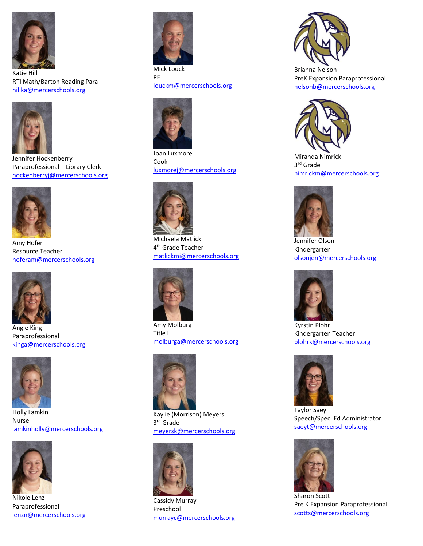

Katie Hill RTI Math/Barton Reading Para [hillka@mercerschools.org](mailto:hillka@mercerschools.org)



Jennifer Hockenberry Paraprofessional – Library Clerk [hockenberryj@mercerschools.org](mailto:hockenberryj@mercerschools.org)



Amy Hofer Resource Teacher [hoferam@mercerschools.org](mailto:hoferam@mercerschools.org)



Angie King Paraprofessional [kinga@mercerschools.org](mailto:kinga@mercerschools.org)



Holly Lamkin Nurse [lamkinholly@mercerschools.org](mailto:lamkinholly@mercerschools.org)



Nikole Lenz Paraprofessional [lenzn@mercerschools.org](mailto:lenzn@mercerschools.org)



Mick Louck PE [louckm@mercerschools.org](mailto:louckm@mercerschools.org)



Joan Luxmore Cook [luxmorej@mercerschools.org](mailto:luxmorej@mercerschools.org)



Michaela Matlick 4<sup>th</sup> Grade Teacher [matlickmi@mercerschools.org](mailto:matlickmi@mercerschools.org)



Amy Molburg Title I [molburga@mercerschools.org](mailto:molburga@mercerschools.org)



Kaylie (Morrison) Meyers 3 rd Grade [meyersk@mercerschools.org](mailto:meyersk@mercerschools.org)



Cassidy Murray Preschool [murrayc@mercerschools.org](mailto:murrayc@mercerschools.org)



Brianna Nelson PreK Expansion Paraprofessional [nelsonb@mercerschools.org](mailto:nelsonb@mercerschools.org)



Miranda Nimrick 3 rd Grade [nimrickm@mercerschools.org](mailto:nimrickm@mercerschools.org)



Jennifer Olson Kindergarten [olsonjen@mercerschools.org](mailto:olsonjen@mercerschools.org)



Kyrstin Plohr Kindergarten Teacher [plohrk@mercerschools.org](mailto:plohrk@mercerschools.org)



Taylor Saey Speech/Spec. Ed Administrator [saeyt@mercerschools.org](mailto:saeyt@mercerschools.org)



Sharon Scott Pre K Expansion Paraprofessional [scotts@mercerschools.org](mailto:scotts@mercerschools.org)